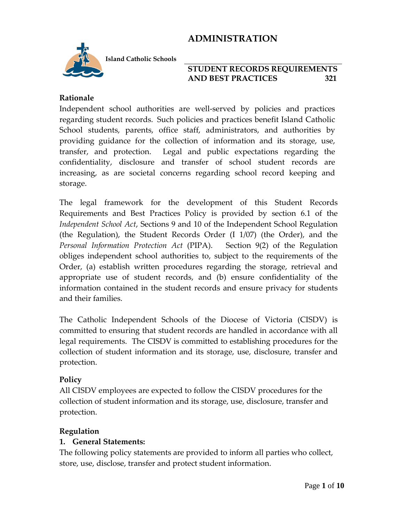

**Island Catholic Schools** 

#### **STUDENT RECORDS REQUIREMENTS AND BEST PRACTICES 321**

#### **Rationale**

Independent school authorities are well-served by policies and practices regarding student records. Such policies and practices benefit Island Catholic School students, parents, office staff, administrators, and authorities by providing guidance for the collection of information and its storage, use, transfer, and protection. Legal and public expectations regarding the confidentiality, disclosure and transfer of school student records are increasing, as are societal concerns regarding school record keeping and storage.

The legal framework for the development of this Student Records Requirements and Best Practices Policy is provided by section 6.1 of the *Independent School Act*, Sections 9 and 10 of the Independent School Regulation (the Regulation), the Student Records Order (I 1/07) (the Order), and the *Personal Information Protection Act* (PIPA). Section 9(2) of the Regulation obliges independent school authorities to, subject to the requirements of the Order, (a) establish written procedures regarding the storage, retrieval and appropriate use of student records, and (b) ensure confidentiality of the information contained in the student records and ensure privacy for students and their families.

The Catholic Independent Schools of the Diocese of Victoria (CISDV) is committed to ensuring that student records are handled in accordance with all legal requirements. The CISDV is committed to establishing procedures for the collection of student information and its storage, use, disclosure, transfer and protection.

#### **Policy**

All CISDV employees are expected to follow the CISDV procedures for the collection of student information and its storage, use, disclosure, transfer and protection.

#### **Regulation**

#### **1. General Statements:**

The following policy statements are provided to inform all parties who collect, store, use, disclose, transfer and protect student information.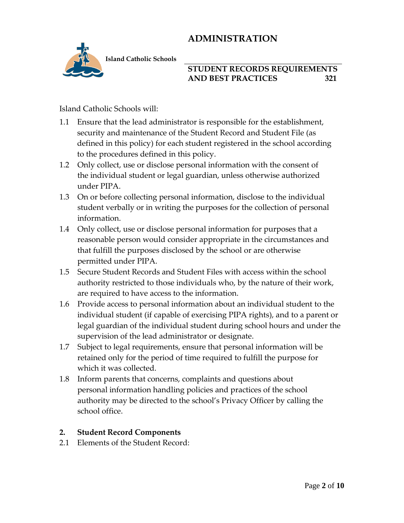

**Island Catholic Schools** 

## **STUDENT RECORDS REQUIREMENTS AND BEST PRACTICES 321**

Island Catholic Schools will:

- 1.1 Ensure that the lead administrator is responsible for the establishment, security and maintenance of the Student Record and Student File (as defined in this policy) for each student registered in the school according to the procedures defined in this policy.
- 1.2 Only collect, use or disclose personal information with the consent of the individual student or legal guardian, unless otherwise authorized under PIPA.
- 1.3 On or before collecting personal information, disclose to the individual student verbally or in writing the purposes for the collection of personal information.
- 1.4 Only collect, use or disclose personal information for purposes that a reasonable person would consider appropriate in the circumstances and that fulfill the purposes disclosed by the school or are otherwise permitted under PIPA.
- 1.5 Secure Student Records and Student Files with access within the school authority restricted to those individuals who, by the nature of their work, are required to have access to the information.
- 1.6 Provide access to personal information about an individual student to the individual student (if capable of exercising PIPA rights), and to a parent or legal guardian of the individual student during school hours and under the supervision of the lead administrator or designate.
- 1.7 Subject to legal requirements, ensure that personal information will be retained only for the period of time required to fulfill the purpose for which it was collected.
- 1.8 Inform parents that concerns, complaints and questions about personal information handling policies and practices of the school authority may be directed to the school's Privacy Officer by calling the school office.

## **2. Student Record Components**

2.1 Elements of the Student Record: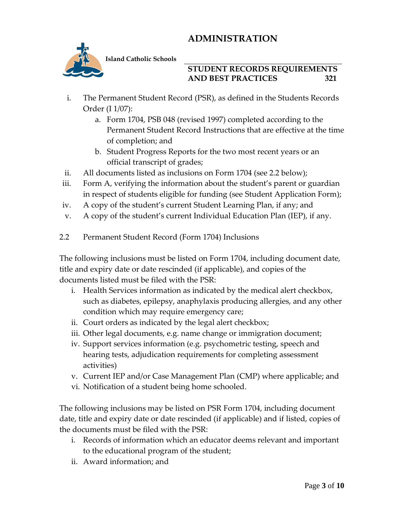

**Island Catholic Schools** 

### **STUDENT RECORDS REQUIREMENTS AND BEST PRACTICES 321**

- i. The Permanent Student Record (PSR), as defined in the Students Records Order (I 1/07):
	- a. Form 1704, PSB 048 (revised 1997) completed according to the Permanent Student Record Instructions that are effective at the time of completion; and
	- b. Student Progress Reports for the two most recent years or an official transcript of grades;
- ii. All documents listed as inclusions on Form 1704 (see 2.2 below);
- iii. Form A, verifying the information about the student's parent or guardian in respect of students eligible for funding (see Student Application Form);
- iv. A copy of the student's current Student Learning Plan, if any; and
- v. A copy of the student's current Individual Education Plan (IEP), if any.
- 2.2 Permanent Student Record (Form 1704) Inclusions

The following inclusions must be listed on Form 1704, including document date, title and expiry date or date rescinded (if applicable), and copies of the documents listed must be filed with the PSR:

- i. Health Services information as indicated by the medical alert checkbox, such as diabetes, epilepsy, anaphylaxis producing allergies, and any other condition which may require emergency care;
- ii. Court orders as indicated by the legal alert checkbox;
- iii. Other legal documents, e.g. name change or immigration document;
- iv. Support services information (e.g. psychometric testing, speech and hearing tests, adjudication requirements for completing assessment activities)
- v. Current IEP and/or Case Management Plan (CMP) where applicable; and
- vi. Notification of a student being home schooled.

The following inclusions may be listed on PSR Form 1704, including document date, title and expiry date or date rescinded (if applicable) and if listed, copies of the documents must be filed with the PSR:

- i. Records of information which an educator deems relevant and important to the educational program of the student;
- ii. Award information; and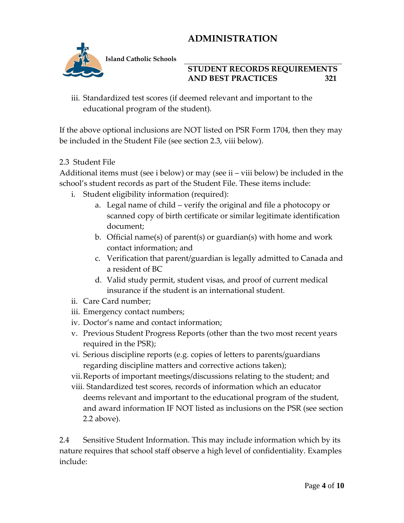

#### **STUDENT RECORDS REQUIREMENTS AND BEST PRACTICES 321**

iii. Standardized test scores (if deemed relevant and important to the educational program of the student).

If the above optional inclusions are NOT listed on PSR Form 1704, then they may be included in the Student File (see section 2.3, viii below).

## 2.3 Student File

Additional items must (see i below) or may (see ii – viii below) be included in the school's student records as part of the Student File. These items include:

- i. Student eligibility information (required):
	- a. Legal name of child verify the original and file a photocopy or scanned copy of birth certificate or similar legitimate identification document;
	- b. Official name(s) of parent(s) or guardian(s) with home and work contact information; and
	- c. Verification that parent/guardian is legally admitted to Canada and a resident of BC
	- d. Valid study permit, student visas, and proof of current medical insurance if the student is an international student.
- ii. Care Card number;
- iii. Emergency contact numbers;
- iv. Doctor's name and contact information;
- v. Previous Student Progress Reports (other than the two most recent years required in the PSR);
- vi. Serious discipline reports (e.g. copies of letters to parents/guardians regarding discipline matters and corrective actions taken);
- vii.Reports of important meetings/discussions relating to the student; and
- viii. Standardized test scores, records of information which an educator deems relevant and important to the educational program of the student, and award information IF NOT listed as inclusions on the PSR (see section 2.2 above).

2.4 Sensitive Student Information. This may include information which by its nature requires that school staff observe a high level of confidentiality. Examples include: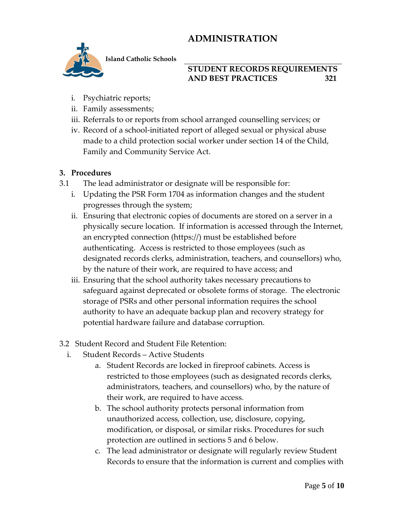

**Island Catholic Schools** 

### **STUDENT RECORDS REQUIREMENTS AND BEST PRACTICES 321**

- i. Psychiatric reports;
- ii. Family assessments;
- iii. Referrals to or reports from school arranged counselling services; or
- iv. Record of a school-initiated report of alleged sexual or physical abuse made to a child protection social worker under section 14 of the Child, Family and Community Service Act.

#### **3. Procedures**

- 3.1 The lead administrator or designate will be responsible for:
	- i. Updating the PSR Form 1704 as information changes and the student progresses through the system;
	- ii. Ensuring that electronic copies of documents are stored on a server in a physically secure location. If information is accessed through the Internet, an encrypted connection (https://) must be established before authenticating. Access is restricted to those employees (such as designated records clerks, administration, teachers, and counsellors) who, by the nature of their work, are required to have access; and
	- iii. Ensuring that the school authority takes necessary precautions to safeguard against deprecated or obsolete forms of storage. The electronic storage of PSRs and other personal information requires the school authority to have an adequate backup plan and recovery strategy for potential hardware failure and database corruption.
- 3.2 Student Record and Student File Retention:
	- i. Student Records Active Students
		- a. Student Records are locked in fireproof cabinets. Access is restricted to those employees (such as designated records clerks, administrators, teachers, and counsellors) who, by the nature of their work, are required to have access.
		- b. The school authority protects personal information from unauthorized access, collection, use, disclosure, copying, modification, or disposal, or similar risks. Procedures for such protection are outlined in sections 5 and 6 below.
		- c. The lead administrator or designate will regularly review Student Records to ensure that the information is current and complies with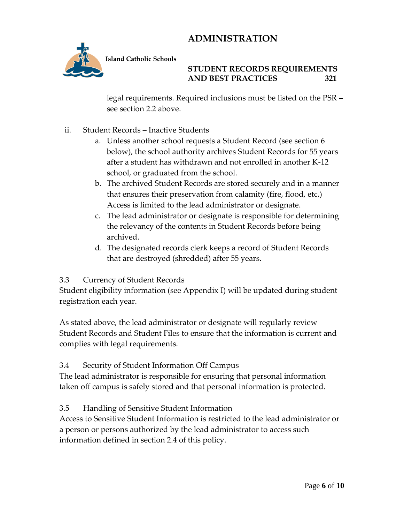

**Island Catholic Schools** 

## **STUDENT RECORDS REQUIREMENTS AND BEST PRACTICES 321**

legal requirements. Required inclusions must be listed on the PSR – see section 2.2 above.

- ii. Student Records Inactive Students
	- a. Unless another school requests a Student Record (see section 6 below), the school authority archives Student Records for 55 years after a student has withdrawn and not enrolled in another K-12 school, or graduated from the school.
	- b. The archived Student Records are stored securely and in a manner that ensures their preservation from calamity (fire, flood, etc.) Access is limited to the lead administrator or designate.
	- c. The lead administrator or designate is responsible for determining the relevancy of the contents in Student Records before being archived.
	- d. The designated records clerk keeps a record of Student Records that are destroyed (shredded) after 55 years.

#### 3.3 Currency of Student Records

Student eligibility information (see Appendix I) will be updated during student registration each year.

As stated above, the lead administrator or designate will regularly review Student Records and Student Files to ensure that the information is current and complies with legal requirements.

#### 3.4 Security of Student Information Off Campus

The lead administrator is responsible for ensuring that personal information taken off campus is safely stored and that personal information is protected.

#### 3.5 Handling of Sensitive Student Information

Access to Sensitive Student Information is restricted to the lead administrator or a person or persons authorized by the lead administrator to access such information defined in section 2.4 of this policy.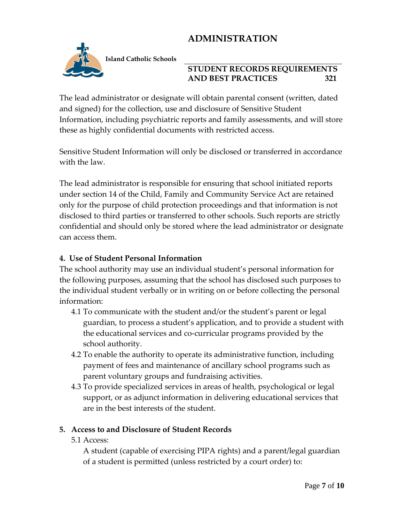

**Island Catholic Schools** 

## **STUDENT RECORDS REQUIREMENTS AND BEST PRACTICES 321**

The lead administrator or designate will obtain parental consent (written, dated and signed) for the collection, use and disclosure of Sensitive Student Information, including psychiatric reports and family assessments, and will store these as highly confidential documents with restricted access.

Sensitive Student Information will only be disclosed or transferred in accordance with the law.

The lead administrator is responsible for ensuring that school initiated reports under section 14 of the Child, Family and Community Service Act are retained only for the purpose of child protection proceedings and that information is not disclosed to third parties or transferred to other schools. Such reports are strictly confidential and should only be stored where the lead administrator or designate can access them.

### **4. Use of Student Personal Information**

The school authority may use an individual student's personal information for the following purposes, assuming that the school has disclosed such purposes to the individual student verbally or in writing on or before collecting the personal information:

- 4.1 To communicate with the student and/or the student's parent or legal guardian, to process a student's application, and to provide a student with the educational services and co-curricular programs provided by the school authority.
- 4.2 To enable the authority to operate its administrative function, including payment of fees and maintenance of ancillary school programs such as parent voluntary groups and fundraising activities.
- 4.3 To provide specialized services in areas of health, psychological or legal support, or as adjunct information in delivering educational services that are in the best interests of the student.

#### **5. Access to and Disclosure of Student Records**

5.1 Access:

A student (capable of exercising PIPA rights) and a parent/legal guardian of a student is permitted (unless restricted by a court order) to: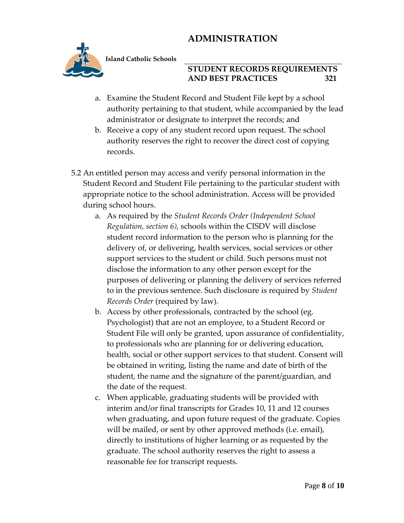

**Island Catholic Schools** 

### **STUDENT RECORDS REQUIREMENTS AND BEST PRACTICES 321**

- a. Examine the Student Record and Student File kept by a school authority pertaining to that student, while accompanied by the lead administrator or designate to interpret the records; and
- b. Receive a copy of any student record upon request. The school authority reserves the right to recover the direct cost of copying records.
- 5.2 An entitled person may access and verify personal information in the Student Record and Student File pertaining to the particular student with appropriate notice to the school administration. Access will be provided during school hours.
	- a. As required by the *Student Records Order (Independent School Regulation, section 6),* schools within the CISDV will disclose student record information to the person who is planning for the delivery of, or delivering, health services, social services or other support services to the student or child. Such persons must not disclose the information to any other person except for the purposes of delivering or planning the delivery of services referred to in the previous sentence. Such disclosure is required by *Student Records Order* (required by law).
	- b. Access by other professionals, contracted by the school (eg. Psychologist) that are not an employee, to a Student Record or Student File will only be granted, upon assurance of confidentiality, to professionals who are planning for or delivering education, health, social or other support services to that student. Consent will be obtained in writing, listing the name and date of birth of the student, the name and the signature of the parent/guardian, and the date of the request.
	- c. When applicable, graduating students will be provided with interim and/or final transcripts for Grades 10, 11 and 12 courses when graduating, and upon future request of the graduate. Copies will be mailed, or sent by other approved methods (i.e. email), directly to institutions of higher learning or as requested by the graduate. The school authority reserves the right to assess a reasonable fee for transcript requests.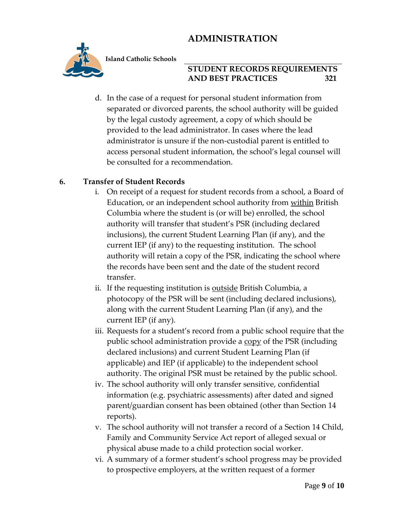

**Island Catholic Schools** 

### **STUDENT RECORDS REQUIREMENTS AND BEST PRACTICES 321**

d. In the case of a request for personal student information from separated or divorced parents, the school authority will be guided by the legal custody agreement, a copy of which should be provided to the lead administrator. In cases where the lead administrator is unsure if the non-custodial parent is entitled to access personal student information, the school's legal counsel will be consulted for a recommendation.

## **6. Transfer of Student Records**

- i. On receipt of a request for student records from a school, a Board of Education, or an independent school authority from within British Columbia where the student is (or will be) enrolled, the school authority will transfer that student's PSR (including declared inclusions), the current Student Learning Plan (if any), and the current IEP (if any) to the requesting institution. The school authority will retain a copy of the PSR, indicating the school where the records have been sent and the date of the student record transfer.
- ii. If the requesting institution is outside British Columbia, a photocopy of the PSR will be sent (including declared inclusions), along with the current Student Learning Plan (if any), and the current IEP (if any).
- iii. Requests for a student's record from a public school require that the public school administration provide a copy of the PSR (including declared inclusions) and current Student Learning Plan (if applicable) and IEP (if applicable) to the independent school authority. The original PSR must be retained by the public school.
- iv. The school authority will only transfer sensitive, confidential information (e.g. psychiatric assessments) after dated and signed parent/guardian consent has been obtained (other than Section 14 reports).
- v. The school authority will not transfer a record of a Section 14 Child, Family and Community Service Act report of alleged sexual or physical abuse made to a child protection social worker.
- vi. A summary of a former student's school progress may be provided to prospective employers, at the written request of a former